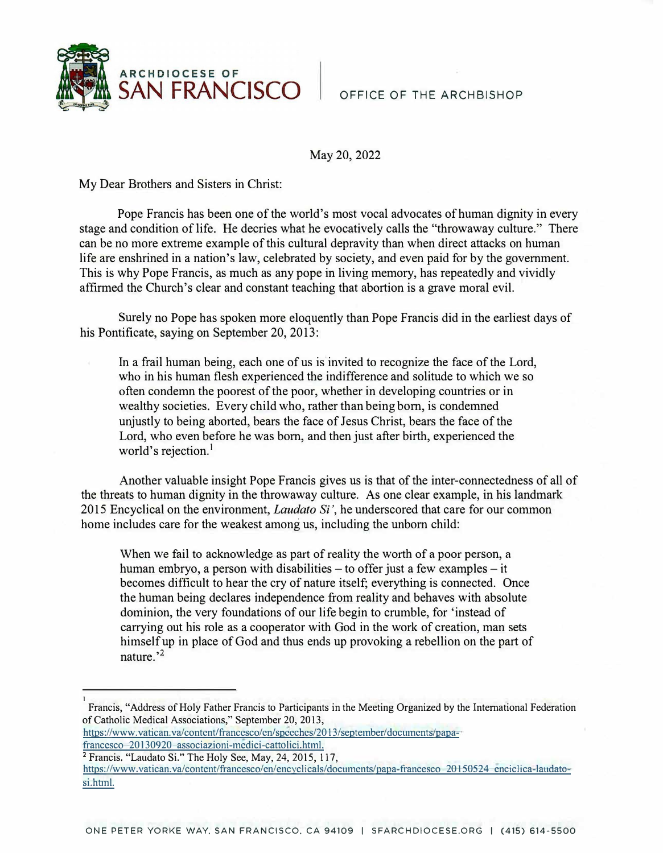

OFFICE OF THE ARCHBISHOP

May 20, 2022

My Dear Brothers and Sisters in Christ:

Pope Francis has been one of the world's most vocal advocates of human dignity in every stage and condition of life. He decries what he evocatively calls the "throwaway culture." There can be no more extreme example of this cultural depravity than when direct attacks on human life are enshrined in a nation's law, celebrated by society, and even paid for by the government. This is why Pope Francis, as much as any pope in living memory, has repeatedly and vividly affirmed the Church's clear and constant teaching that abortion is a grave moral evil.

Surely no Pope has spoken more eloquently than Pope Francis did in the earliest days of his Pontificate, saying on September 20, 2013:

In a frail human being, each one of us is invited to recognize the face of the Lord, who in his human flesh experienced the indifference and solitude to which we so often condemn the poorest of the poor, whether in developing countries or in wealthy societies. Every child who, rather than being born, is condemned unjustly to being aborted, bears the face of Jesus Christ, bears the face of the Lord, who even before he was born, and then just after birth, experienced the world's rejection.<sup>1</sup>

Another valuable insight Pope Francis gives us is that of the inter-connectedness of all of the threats to human dignity in the throwaway culture. As one clear example, in his landmark 2015 Encyclical on the environment, *Laudato Si',* he underscored that care for our common home includes care for the weakest among us, including the unborn child:

When we fail to acknowledge as part of reality the worth of a poor person, a human embryo, a person with disabilities  $-$  to offer just a few examples  $-$  it becomes difficult to hear the cry of nature itself; everything is connected. Once the human being declares independence from reality and behaves with absolute dominion, the very foundations of our life begin to crumble, for 'instead of carrying out his role as a cooperator with God in the work of creation, man sets himself up in place of God and thus ends up provoking a rebellion on the part of nature.'<sup>2</sup>

https://www.vatican.va/contcnt/francesco/cn/spccches/20 13/september/documcnts/papa-

francesco 20130920 associazioni-medici-cattolici.html.<br><sup>2</sup> Francis. "Laudato Si." The Holy See, May, 24, 2015, 117,

1

https://www.vatican.va/content/francesco/en/encyclicals/documents/papa-francesco 20150524 enciclica-laudatosi.html.

Francis, "Address of Holy Father Francis to Participants in the Meeting Organized by the International Federation of Catholic Medical Associations," September 20, 2013,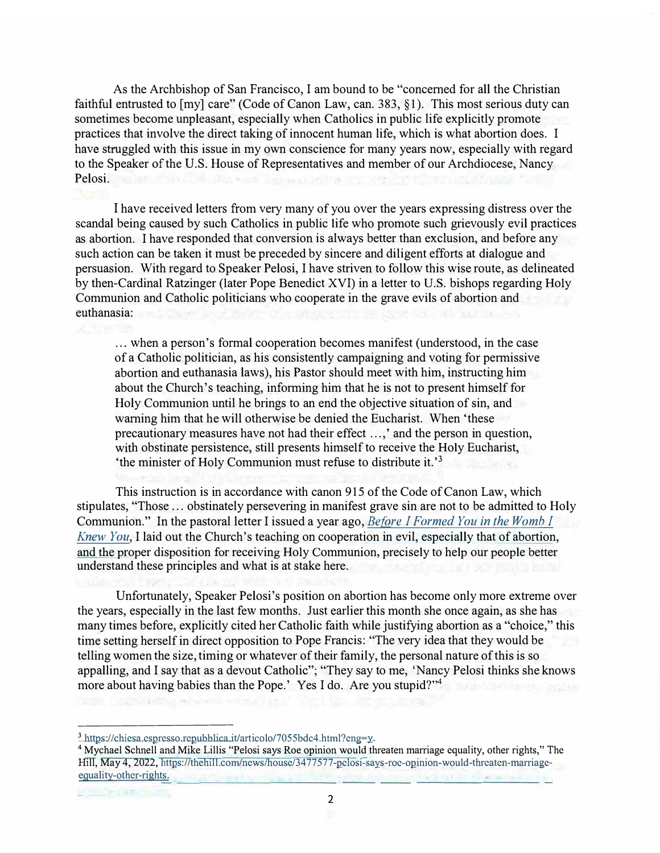As the Archbishop of San Francisco, I am bound to be "concerned for all the Christian faithful entrusted to [my] care" (Code of Canon Law, can. 383, §1). This most serious duty can sometimes become unpleasant, especially when Catholics in public life explicitly promote practices that involve the direct taking of innocent human life, which is what abortion does. I have struggled with this issue in my own conscience for many years now, especially with regard to the Speaker of the U.S. House of Representatives and member of our Archdiocese, Nancy Pelosi.

I have received letters from very many of you over the years expressing distress over the scandal being caused by such Catholics in public life who promote such grievously evil practices as abortion. I have responded that conversion is always better than exclusion, and before any such action can be taken it must be preceded by sincere and diligent efforts at dialogue and persuasion. With regard to Speaker Pelosi, I have striven to follow this wise route, as delineated by then-Cardinal Ratzinger (later Pope Benedict XVI) in a letter to U.S. bishops regarding Holy Communion and Catholic politicians who cooperate in the grave evils of abortion and euthanasia:

... when a person's formal cooperation becomes manifest (understood, in the case of a Catholic politician, as his consistently campaigning and voting for permissive abortion and euthanasia laws), his Pastor should meet with him, instructing him about the Church's teaching, informing him that he is not to present himself for Holy Communion until he brings to an end the objective situation of sin, and warning him that he will otherwise be denied the Eucharist. When 'these precautionary measures have not had their effect ...,' and the person in question, with obstinate persistence, still presents himself to receive the Holy Eucharist, 'the minister of Holy Communion must refuse to distribute it. ' **3**

This instruction is in accordance with canon 915 of the Code of Canon Law, which stipulates, "Those ... obstinately persevering in manifest grave sin are not to be admitted to Holy Communion." In the pastoral letter I issued a year ago, *Before I Formed You* in *the Womb I Knew You,* [I laid out the Church's teaching on cooperation in](https://www.sfarchdiocese.org/inthewomb/) evil, especially that of abortion, and the proper disposition for receiving Holy Communion, precisely to help our people better understand these principles and what is at stake here.

Unfortunately, Speaker Pelosi's position on abortion has become only more extreme over the years, especially in the last few months. Just earlier this month she once again, as she has many times before, explicitly cited her Catholic faith while justifying abortion as a "choice," this time setting herself in direct opposition to Pope Francis: "The very idea that they would be telling women the size, timing or whatever of their family, the personal nature of this is so appalling, and I say that as a devout Catholic"; "They say to me, 'Nancy Pelosi thinks she knows more about having babies than the Pope.' Yes I do. Are you stupid?"<sup>4</sup>

**<sup>3</sup>**https://chiesa.cspresso.rcpubblica.it/articolo/7055bdc4.html?cng=y.

**<sup>4</sup>**Mychael Schnell and Mike Lillis "Pelosi says Roe opinion would threaten marriage equality, other rights," The Hill, May 4, 2022, https://thehil l.com/news/house/34 77577-pclosi-says-roe-opinion-would-thrcatcn-marriageequality-other-rights.